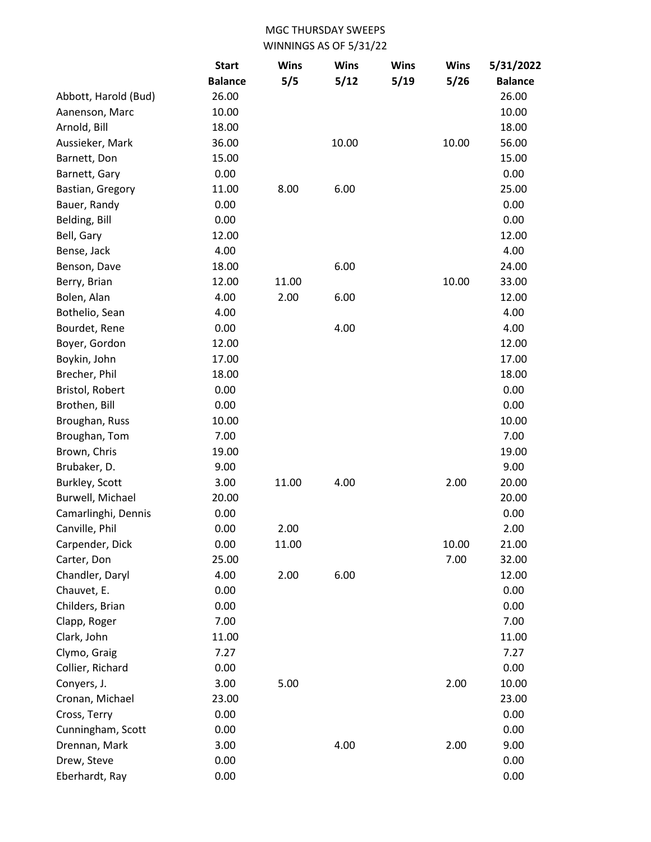|                      | <b>Start</b>   | <b>Wins</b> | <b>Wins</b> | <b>Wins</b> | <b>Wins</b> | 5/31/2022      |
|----------------------|----------------|-------------|-------------|-------------|-------------|----------------|
|                      | <b>Balance</b> | 5/5         | 5/12        | 5/19        | 5/26        | <b>Balance</b> |
| Abbott, Harold (Bud) | 26.00          |             |             |             |             | 26.00          |
| Aanenson, Marc       | 10.00          |             |             |             |             | 10.00          |
| Arnold, Bill         | 18.00          |             |             |             |             | 18.00          |
| Aussieker, Mark      | 36.00          |             | 10.00       |             | 10.00       | 56.00          |
| Barnett, Don         | 15.00          |             |             |             |             | 15.00          |
| Barnett, Gary        | 0.00           |             |             |             |             | 0.00           |
| Bastian, Gregory     | 11.00          | 8.00        | 6.00        |             |             | 25.00          |
| Bauer, Randy         | 0.00           |             |             |             |             | 0.00           |
| Belding, Bill        | 0.00           |             |             |             |             | 0.00           |
| Bell, Gary           | 12.00          |             |             |             |             | 12.00          |
| Bense, Jack          | 4.00           |             |             |             |             | 4.00           |
| Benson, Dave         | 18.00          |             | 6.00        |             |             | 24.00          |
| Berry, Brian         | 12.00          | 11.00       |             |             | 10.00       | 33.00          |
| Bolen, Alan          | 4.00           | 2.00        | 6.00        |             |             | 12.00          |
| Bothelio, Sean       | 4.00           |             |             |             |             | 4.00           |
| Bourdet, Rene        | 0.00           |             | 4.00        |             |             | 4.00           |
| Boyer, Gordon        | 12.00          |             |             |             |             | 12.00          |
| Boykin, John         | 17.00          |             |             |             |             | 17.00          |
| Brecher, Phil        | 18.00          |             |             |             |             | 18.00          |
| Bristol, Robert      | 0.00           |             |             |             |             | 0.00           |
| Brothen, Bill        | 0.00           |             |             |             |             | 0.00           |
| Broughan, Russ       | 10.00          |             |             |             |             | 10.00          |
| Broughan, Tom        | 7.00           |             |             |             |             | 7.00           |
| Brown, Chris         | 19.00          |             |             |             |             | 19.00          |
| Brubaker, D.         | 9.00           |             |             |             |             | 9.00           |
| Burkley, Scott       | 3.00           | 11.00       | 4.00        |             | 2.00        | 20.00          |
| Burwell, Michael     | 20.00          |             |             |             |             | 20.00          |
| Camarlinghi, Dennis  | 0.00           |             |             |             |             | 0.00           |
| Canville, Phil       | 0.00           | 2.00        |             |             |             | 2.00           |
| Carpender, Dick      | 0.00           | 11.00       |             |             | 10.00       | 21.00          |
| Carter, Don          | 25.00          |             |             |             | 7.00        | 32.00          |
| Chandler, Daryl      | 4.00           | 2.00        | 6.00        |             |             | 12.00          |
| Chauvet, E.          | 0.00           |             |             |             |             | 0.00           |
| Childers, Brian      | 0.00           |             |             |             |             | 0.00           |
| Clapp, Roger         | 7.00           |             |             |             |             | 7.00           |
| Clark, John          | 11.00          |             |             |             |             | 11.00          |
| Clymo, Graig         | 7.27           |             |             |             |             | 7.27           |
| Collier, Richard     | 0.00           |             |             |             |             | 0.00           |
| Conyers, J.          | 3.00           | 5.00        |             |             | 2.00        | 10.00          |
| Cronan, Michael      | 23.00          |             |             |             |             | 23.00          |
| Cross, Terry         | 0.00           |             |             |             |             | 0.00           |
| Cunningham, Scott    | 0.00           |             |             |             |             | 0.00           |
| Drennan, Mark        | 3.00           |             | 4.00        |             | 2.00        | 9.00           |
| Drew, Steve          | 0.00           |             |             |             |             | 0.00           |
| Eberhardt, Ray       | 0.00           |             |             |             |             | 0.00           |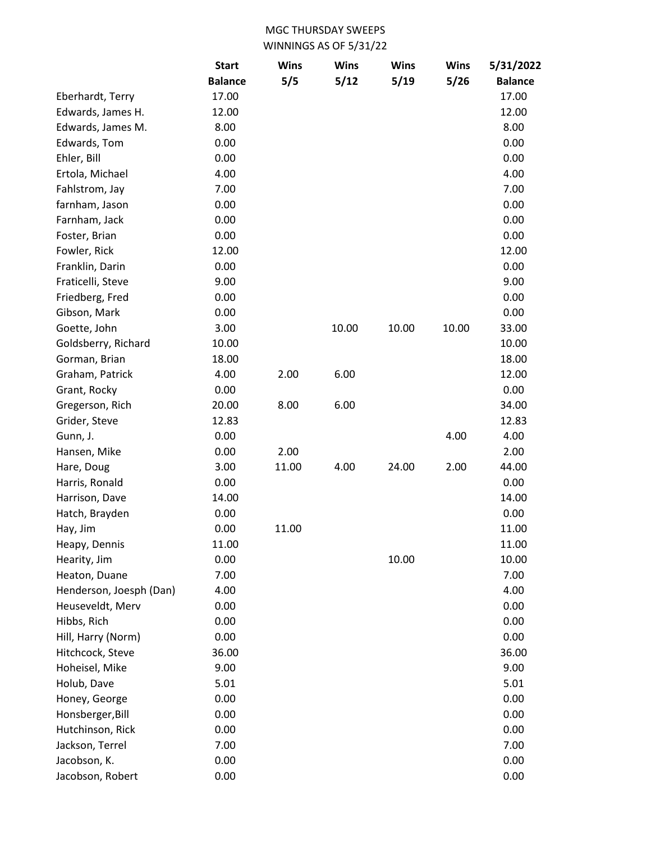|                         | <b>Start</b>   | <b>Wins</b> | <b>Wins</b> | <b>Wins</b> | <b>Wins</b> | 5/31/2022      |
|-------------------------|----------------|-------------|-------------|-------------|-------------|----------------|
|                         | <b>Balance</b> | 5/5         | 5/12        | 5/19        | 5/26        | <b>Balance</b> |
| Eberhardt, Terry        | 17.00          |             |             |             |             | 17.00          |
| Edwards, James H.       | 12.00          |             |             |             |             | 12.00          |
| Edwards, James M.       | 8.00           |             |             |             |             | 8.00           |
| Edwards, Tom            | 0.00           |             |             |             |             | 0.00           |
| Ehler, Bill             | 0.00           |             |             |             |             | 0.00           |
| Ertola, Michael         | 4.00           |             |             |             |             | 4.00           |
| Fahlstrom, Jay          | 7.00           |             |             |             |             | 7.00           |
| farnham, Jason          | 0.00           |             |             |             |             | 0.00           |
| Farnham, Jack           | 0.00           |             |             |             |             | 0.00           |
| Foster, Brian           | 0.00           |             |             |             |             | 0.00           |
| Fowler, Rick            | 12.00          |             |             |             |             | 12.00          |
| Franklin, Darin         | 0.00           |             |             |             |             | 0.00           |
| Fraticelli, Steve       | 9.00           |             |             |             |             | 9.00           |
| Friedberg, Fred         | 0.00           |             |             |             |             | 0.00           |
| Gibson, Mark            | 0.00           |             |             |             |             | 0.00           |
| Goette, John            | 3.00           |             | 10.00       | 10.00       | 10.00       | 33.00          |
| Goldsberry, Richard     | 10.00          |             |             |             |             | 10.00          |
| Gorman, Brian           | 18.00          |             |             |             |             | 18.00          |
| Graham, Patrick         | 4.00           | 2.00        | 6.00        |             |             | 12.00          |
| Grant, Rocky            | 0.00           |             |             |             |             | 0.00           |
| Gregerson, Rich         | 20.00          | 8.00        | 6.00        |             |             | 34.00          |
| Grider, Steve           | 12.83          |             |             |             |             | 12.83          |
| Gunn, J.                | 0.00           |             |             |             | 4.00        | 4.00           |
| Hansen, Mike            | 0.00           | 2.00        |             |             |             | 2.00           |
| Hare, Doug              | 3.00           | 11.00       | 4.00        | 24.00       | 2.00        | 44.00          |
| Harris, Ronald          | 0.00           |             |             |             |             | 0.00           |
| Harrison, Dave          | 14.00          |             |             |             |             | 14.00          |
| Hatch, Brayden          | 0.00           |             |             |             |             | 0.00           |
| Hay, Jim                | 0.00           | 11.00       |             |             |             | 11.00          |
| Heapy, Dennis           | 11.00          |             |             |             |             | 11.00          |
| Hearity, Jim            | 0.00           |             |             | 10.00       |             | 10.00          |
| Heaton, Duane           | 7.00           |             |             |             |             | 7.00           |
| Henderson, Joesph (Dan) | 4.00           |             |             |             |             | 4.00           |
| Heuseveldt, Merv        | 0.00           |             |             |             |             | 0.00           |
| Hibbs, Rich             | 0.00           |             |             |             |             | 0.00           |
| Hill, Harry (Norm)      | 0.00           |             |             |             |             | 0.00           |
| Hitchcock, Steve        | 36.00          |             |             |             |             | 36.00          |
| Hoheisel, Mike          | 9.00           |             |             |             |             | 9.00           |
| Holub, Dave             | 5.01           |             |             |             |             | 5.01           |
| Honey, George           | 0.00           |             |             |             |             | 0.00           |
| Honsberger, Bill        | 0.00           |             |             |             |             | 0.00           |
| Hutchinson, Rick        | 0.00           |             |             |             |             | 0.00           |
| Jackson, Terrel         | 7.00           |             |             |             |             | 7.00           |
| Jacobson, K.            | 0.00           |             |             |             |             | 0.00           |
| Jacobson, Robert        | 0.00           |             |             |             |             | 0.00           |
|                         |                |             |             |             |             |                |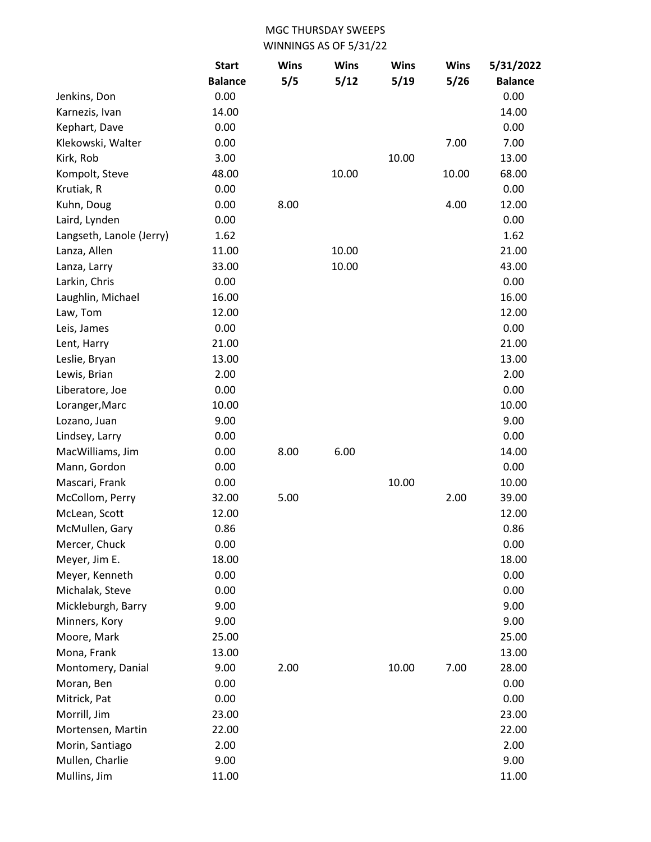|                          | <b>Start</b>   | <b>Wins</b> | <b>Wins</b> | <b>Wins</b> | <b>Wins</b> | 5/31/2022      |
|--------------------------|----------------|-------------|-------------|-------------|-------------|----------------|
|                          | <b>Balance</b> | 5/5         | 5/12        | 5/19        | 5/26        | <b>Balance</b> |
| Jenkins, Don             | 0.00           |             |             |             |             | 0.00           |
| Karnezis, Ivan           | 14.00          |             |             |             |             | 14.00          |
| Kephart, Dave            | 0.00           |             |             |             |             | 0.00           |
| Klekowski, Walter        | 0.00           |             |             |             | 7.00        | 7.00           |
| Kirk, Rob                | 3.00           |             |             | 10.00       |             | 13.00          |
| Kompolt, Steve           | 48.00          |             | 10.00       |             | 10.00       | 68.00          |
| Krutiak, R               | 0.00           |             |             |             |             | 0.00           |
| Kuhn, Doug               | 0.00           | 8.00        |             |             | 4.00        | 12.00          |
| Laird, Lynden            | 0.00           |             |             |             |             | 0.00           |
| Langseth, Lanole (Jerry) | 1.62           |             |             |             |             | 1.62           |
| Lanza, Allen             | 11.00          |             | 10.00       |             |             | 21.00          |
| Lanza, Larry             | 33.00          |             | 10.00       |             |             | 43.00          |
| Larkin, Chris            | 0.00           |             |             |             |             | 0.00           |
| Laughlin, Michael        | 16.00          |             |             |             |             | 16.00          |
| Law, Tom                 | 12.00          |             |             |             |             | 12.00          |
| Leis, James              | 0.00           |             |             |             |             | 0.00           |
| Lent, Harry              | 21.00          |             |             |             |             | 21.00          |
| Leslie, Bryan            | 13.00          |             |             |             |             | 13.00          |
| Lewis, Brian             | 2.00           |             |             |             |             | 2.00           |
| Liberatore, Joe          | 0.00           |             |             |             |             | 0.00           |
| Loranger, Marc           | 10.00          |             |             |             |             | 10.00          |
| Lozano, Juan             | 9.00           |             |             |             |             | 9.00           |
| Lindsey, Larry           | 0.00           |             |             |             |             | 0.00           |
| MacWilliams, Jim         | 0.00           | 8.00        | 6.00        |             |             | 14.00          |
| Mann, Gordon             | 0.00           |             |             |             |             | 0.00           |
| Mascari, Frank           | 0.00           |             |             | 10.00       |             | 10.00          |
| McCollom, Perry          | 32.00          | 5.00        |             |             | 2.00        | 39.00          |
| McLean, Scott            | 12.00          |             |             |             |             | 12.00          |
| McMullen, Gary           | 0.86           |             |             |             |             | 0.86           |
| Mercer, Chuck            | 0.00           |             |             |             |             | 0.00           |
| Meyer, Jim E.            | 18.00          |             |             |             |             | 18.00          |
| Meyer, Kenneth           | 0.00           |             |             |             |             | 0.00           |
| Michalak, Steve          | 0.00           |             |             |             |             | 0.00           |
| Mickleburgh, Barry       | 9.00           |             |             |             |             | 9.00           |
| Minners, Kory            | 9.00           |             |             |             |             | 9.00           |
| Moore, Mark              | 25.00          |             |             |             |             | 25.00          |
| Mona, Frank              | 13.00          |             |             |             |             | 13.00          |
| Montomery, Danial        | 9.00           | 2.00        |             | 10.00       | 7.00        | 28.00          |
| Moran, Ben               | 0.00           |             |             |             |             | 0.00           |
| Mitrick, Pat             | 0.00           |             |             |             |             | 0.00           |
| Morrill, Jim             | 23.00          |             |             |             |             | 23.00          |
| Mortensen, Martin        | 22.00          |             |             |             |             | 22.00          |
| Morin, Santiago          | 2.00           |             |             |             |             | 2.00           |
| Mullen, Charlie          | 9.00           |             |             |             |             | 9.00           |
| Mullins, Jim             | 11.00          |             |             |             |             | 11.00          |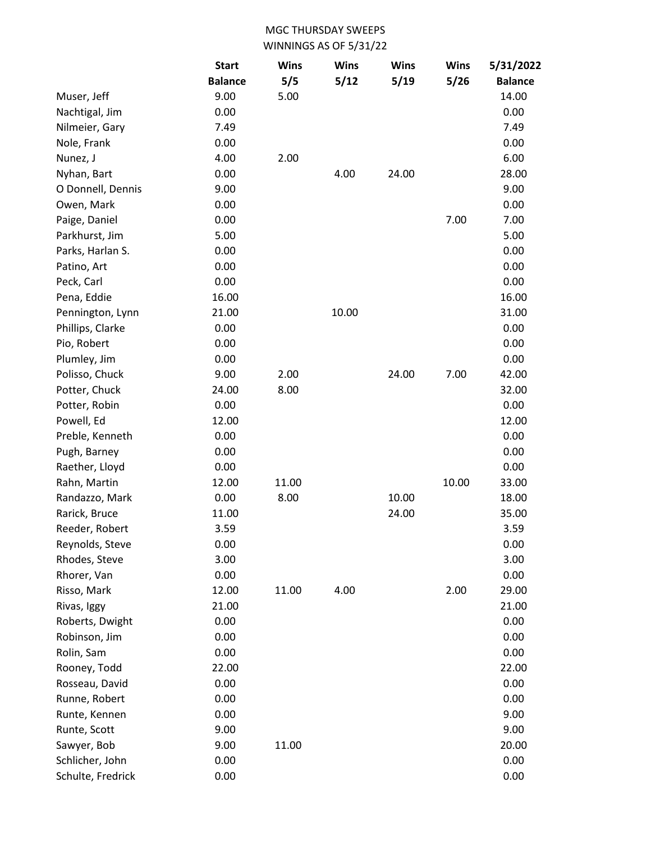|                   | <b>Start</b>   | <b>Wins</b> | <b>Wins</b> | <b>Wins</b> | <b>Wins</b> | 5/31/2022      |
|-------------------|----------------|-------------|-------------|-------------|-------------|----------------|
|                   | <b>Balance</b> | 5/5         | 5/12        | 5/19        | 5/26        | <b>Balance</b> |
| Muser, Jeff       | 9.00           | 5.00        |             |             |             | 14.00          |
| Nachtigal, Jim    | 0.00           |             |             |             |             | 0.00           |
| Nilmeier, Gary    | 7.49           |             |             |             |             | 7.49           |
| Nole, Frank       | 0.00           |             |             |             |             | 0.00           |
| Nunez, J          | 4.00           | 2.00        |             |             |             | 6.00           |
| Nyhan, Bart       | 0.00           |             | 4.00        | 24.00       |             | 28.00          |
| O Donnell, Dennis | 9.00           |             |             |             |             | 9.00           |
| Owen, Mark        | 0.00           |             |             |             |             | 0.00           |
| Paige, Daniel     | 0.00           |             |             |             | 7.00        | 7.00           |
| Parkhurst, Jim    | 5.00           |             |             |             |             | 5.00           |
| Parks, Harlan S.  | 0.00           |             |             |             |             | 0.00           |
| Patino, Art       | 0.00           |             |             |             |             | 0.00           |
| Peck, Carl        | 0.00           |             |             |             |             | 0.00           |
| Pena, Eddie       | 16.00          |             |             |             |             | 16.00          |
| Pennington, Lynn  | 21.00          |             | 10.00       |             |             | 31.00          |
| Phillips, Clarke  | 0.00           |             |             |             |             | 0.00           |
| Pio, Robert       | 0.00           |             |             |             |             | 0.00           |
| Plumley, Jim      | 0.00           |             |             |             |             | 0.00           |
| Polisso, Chuck    | 9.00           | 2.00        |             | 24.00       | 7.00        | 42.00          |
| Potter, Chuck     | 24.00          | 8.00        |             |             |             | 32.00          |
| Potter, Robin     | 0.00           |             |             |             |             | 0.00           |
| Powell, Ed        | 12.00          |             |             |             |             | 12.00          |
| Preble, Kenneth   | 0.00           |             |             |             |             | 0.00           |
| Pugh, Barney      | 0.00           |             |             |             |             | 0.00           |
| Raether, Lloyd    | 0.00           |             |             |             |             | 0.00           |
| Rahn, Martin      | 12.00          | 11.00       |             |             | 10.00       | 33.00          |
| Randazzo, Mark    | 0.00           | 8.00        |             | 10.00       |             | 18.00          |
| Rarick, Bruce     | 11.00          |             |             | 24.00       |             | 35.00          |
| Reeder, Robert    | 3.59           |             |             |             |             | 3.59           |
| Reynolds, Steve   | 0.00           |             |             |             |             | 0.00           |
| Rhodes, Steve     | 3.00           |             |             |             |             | 3.00           |
| Rhorer, Van       | 0.00           |             |             |             |             | 0.00           |
| Risso, Mark       | 12.00          | 11.00       | 4.00        |             | 2.00        | 29.00          |
| Rivas, Iggy       | 21.00          |             |             |             |             | 21.00          |
| Roberts, Dwight   | 0.00           |             |             |             |             | 0.00           |
| Robinson, Jim     | 0.00           |             |             |             |             | 0.00           |
| Rolin, Sam        | 0.00           |             |             |             |             | 0.00           |
| Rooney, Todd      | 22.00          |             |             |             |             | 22.00          |
| Rosseau, David    | 0.00           |             |             |             |             | 0.00           |
| Runne, Robert     | 0.00           |             |             |             |             | 0.00           |
| Runte, Kennen     | 0.00           |             |             |             |             | 9.00           |
| Runte, Scott      | 9.00           |             |             |             |             | 9.00           |
| Sawyer, Bob       | 9.00           | 11.00       |             |             |             | 20.00          |
| Schlicher, John   | 0.00           |             |             |             |             | 0.00           |
| Schulte, Fredrick | 0.00           |             |             |             |             | 0.00           |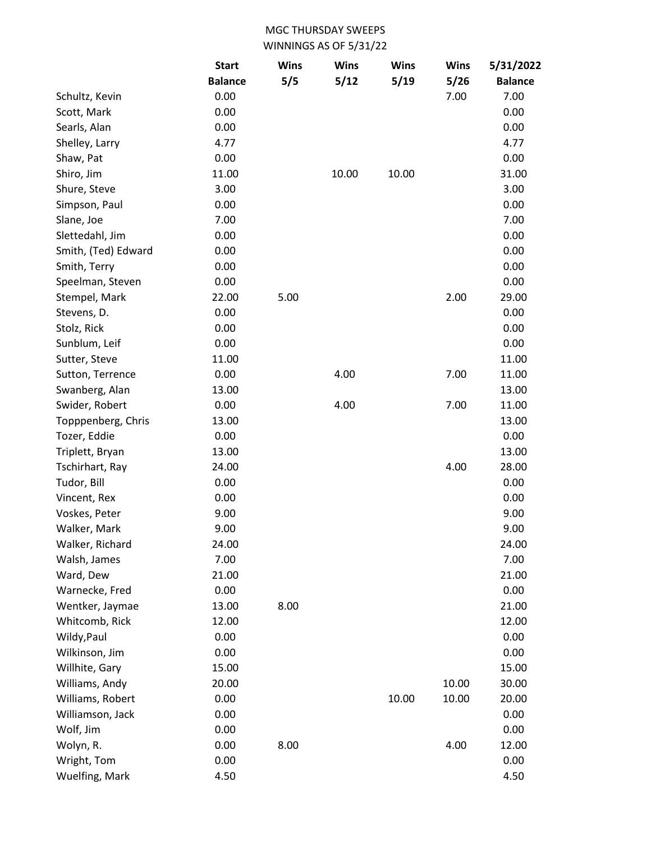|                     | <b>Start</b>   | <b>Wins</b> | <b>Wins</b> | <b>Wins</b> | <b>Wins</b> | 5/31/2022      |
|---------------------|----------------|-------------|-------------|-------------|-------------|----------------|
|                     | <b>Balance</b> | 5/5         | 5/12        | 5/19        | 5/26        | <b>Balance</b> |
| Schultz, Kevin      | 0.00           |             |             |             | 7.00        | 7.00           |
| Scott, Mark         | 0.00           |             |             |             |             | 0.00           |
| Searls, Alan        | 0.00           |             |             |             |             | 0.00           |
| Shelley, Larry      | 4.77           |             |             |             |             | 4.77           |
| Shaw, Pat           | 0.00           |             |             |             |             | 0.00           |
| Shiro, Jim          | 11.00          |             | 10.00       | 10.00       |             | 31.00          |
| Shure, Steve        | 3.00           |             |             |             |             | 3.00           |
| Simpson, Paul       | 0.00           |             |             |             |             | 0.00           |
| Slane, Joe          | 7.00           |             |             |             |             | 7.00           |
| Slettedahl, Jim     | 0.00           |             |             |             |             | 0.00           |
| Smith, (Ted) Edward | 0.00           |             |             |             |             | 0.00           |
| Smith, Terry        | 0.00           |             |             |             |             | 0.00           |
| Speelman, Steven    | 0.00           |             |             |             |             | 0.00           |
| Stempel, Mark       | 22.00          | 5.00        |             |             | 2.00        | 29.00          |
| Stevens, D.         | 0.00           |             |             |             |             | 0.00           |
| Stolz, Rick         | 0.00           |             |             |             |             | 0.00           |
| Sunblum, Leif       | 0.00           |             |             |             |             | 0.00           |
| Sutter, Steve       | 11.00          |             |             |             |             | 11.00          |
| Sutton, Terrence    | 0.00           |             | 4.00        |             | 7.00        | 11.00          |
| Swanberg, Alan      | 13.00          |             |             |             |             | 13.00          |
| Swider, Robert      | 0.00           |             | 4.00        |             | 7.00        | 11.00          |
| Topppenberg, Chris  | 13.00          |             |             |             |             | 13.00          |
| Tozer, Eddie        | 0.00           |             |             |             |             | 0.00           |
| Triplett, Bryan     | 13.00          |             |             |             |             | 13.00          |
| Tschirhart, Ray     | 24.00          |             |             |             | 4.00        | 28.00          |
| Tudor, Bill         | 0.00           |             |             |             |             | 0.00           |
| Vincent, Rex        | 0.00           |             |             |             |             | 0.00           |
| Voskes, Peter       | 9.00           |             |             |             |             | 9.00           |
| Walker, Mark        | 9.00           |             |             |             |             | 9.00           |
| Walker, Richard     | 24.00          |             |             |             |             | 24.00          |
| Walsh, James        | 7.00           |             |             |             |             | 7.00           |
| Ward, Dew           | 21.00          |             |             |             |             | 21.00          |
| Warnecke, Fred      | 0.00           |             |             |             |             | 0.00           |
| Wentker, Jaymae     | 13.00          | 8.00        |             |             |             | 21.00          |
| Whitcomb, Rick      | 12.00          |             |             |             |             | 12.00          |
| Wildy, Paul         | 0.00           |             |             |             |             | 0.00           |
| Wilkinson, Jim      | 0.00           |             |             |             |             | 0.00           |
| Willhite, Gary      | 15.00          |             |             |             |             | 15.00          |
| Williams, Andy      | 20.00          |             |             |             | 10.00       | 30.00          |
| Williams, Robert    | 0.00           |             |             | 10.00       | 10.00       | 20.00          |
| Williamson, Jack    | 0.00           |             |             |             |             | 0.00           |
| Wolf, Jim           | 0.00           |             |             |             |             | 0.00           |
| Wolyn, R.           | 0.00           | 8.00        |             |             | 4.00        | 12.00          |
| Wright, Tom         | 0.00           |             |             |             |             | 0.00           |
| Wuelfing, Mark      | 4.50           |             |             |             |             | 4.50           |